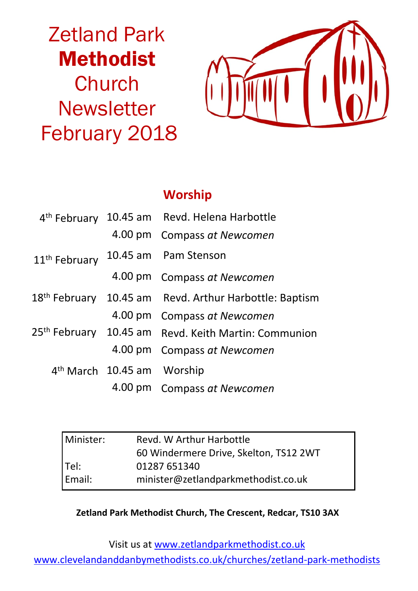# Zetland Park Methodist **Church Newsletter** February 2018



# **Worship**

|                           |                                        | 4 <sup>th</sup> February 10.45 am Revd. Helena Harbottle           |
|---------------------------|----------------------------------------|--------------------------------------------------------------------|
|                           |                                        | 4.00 pm Compass at Newcomen                                        |
| 11 <sup>th</sup> February |                                        | 10.45 am Pam Stenson                                               |
|                           |                                        | 4.00 pm Compass at Newcomen                                        |
|                           |                                        | 18 <sup>th</sup> February 10.45 am Revd. Arthur Harbottle: Baptism |
|                           |                                        | 4.00 pm Compass at Newcomen                                        |
|                           |                                        | 25 <sup>th</sup> February 10.45 am Revd. Keith Martin: Communion   |
|                           |                                        | 4.00 pm Compass at Newcomen                                        |
|                           | 4 <sup>th</sup> March 10.45 am Worship |                                                                    |
|                           |                                        | 4.00 pm Compass at Newcomen                                        |

| Minister: | Revd. W Arthur Harbottle               |  |  |
|-----------|----------------------------------------|--|--|
|           | 60 Windermere Drive, Skelton, TS12 2WT |  |  |
| Tel:      | 01287 651340                           |  |  |
| Email:    | minister@zetlandparkmethodist.co.uk    |  |  |

#### **Zetland Park Methodist Church, The Crescent, Redcar, TS10 3AX**

Visit us at www.zetlandparkmethodist.co.uk

www.clevelandanddanbymethodists.co.uk/churches/zetland-park-methodists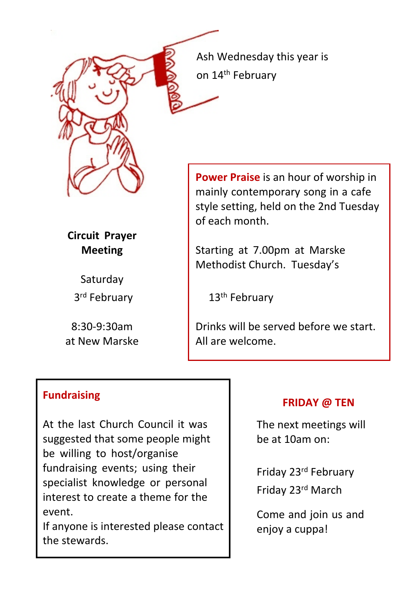Ash Wednesday this year is on 14<sup>th</sup> February

**Power Praise** is an hour of worship in mainly contemporary song in a cafe style setting, held on the 2nd Tuesday of each month.

Starting at 7.00pm at Marske Methodist Church. Tuesday's

13<sup>th</sup> February

Drinks will be served before we start. All are welcome.

### **Fundraising**

**Circuit Prayer Meeting**

> **Saturday** 3rd February

8:30-9:30am at New Marske

At the last Church Council it was suggested that some people might be willing to host/organise fundraising events; using their specialist knowledge or personal interest to create a theme for the event.

If anyone is interested please contact the stewards.

#### **FRIDAY @ TEN**

The next meetings will be at 10am on:

Friday 23rd February

Friday 23rd March

Come and join us and enjoy a cuppa!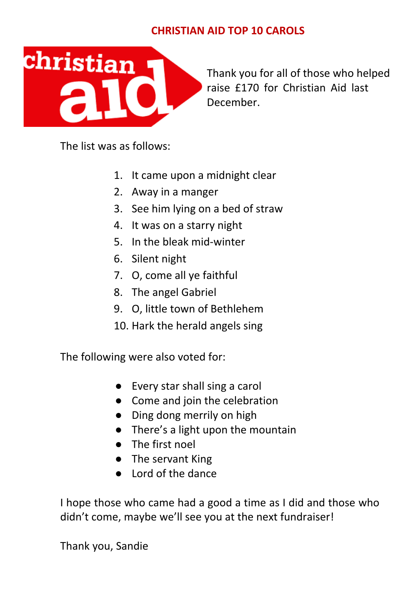## **CHRISTIAN AID TOP 10 CAROLS**



Thank you for all of those who helped raise £170 for Christian Aid last December.

The list was as follows:

- 1. It came upon a midnight clear
- 2. Away in a manger
- 3. See him lying on a bed of straw
- 4. It was on a starry night
- 5. In the bleak mid-winter
- 6. Silent night
- 7. O, come all ye faithful
- 8. The angel Gabriel
- 9. O, little town of Bethlehem
- 10. Hark the herald angels sing

The following were also voted for:

- Every star shall sing a carol
- Come and join the celebration
- Ding dong merrily on high
- There's a light upon the mountain
- The first noel
- The servant King
- Lord of the dance

I hope those who came had a good a time as I did and those who didn't come, maybe we'll see you at the next fundraiser!

Thank you, Sandie